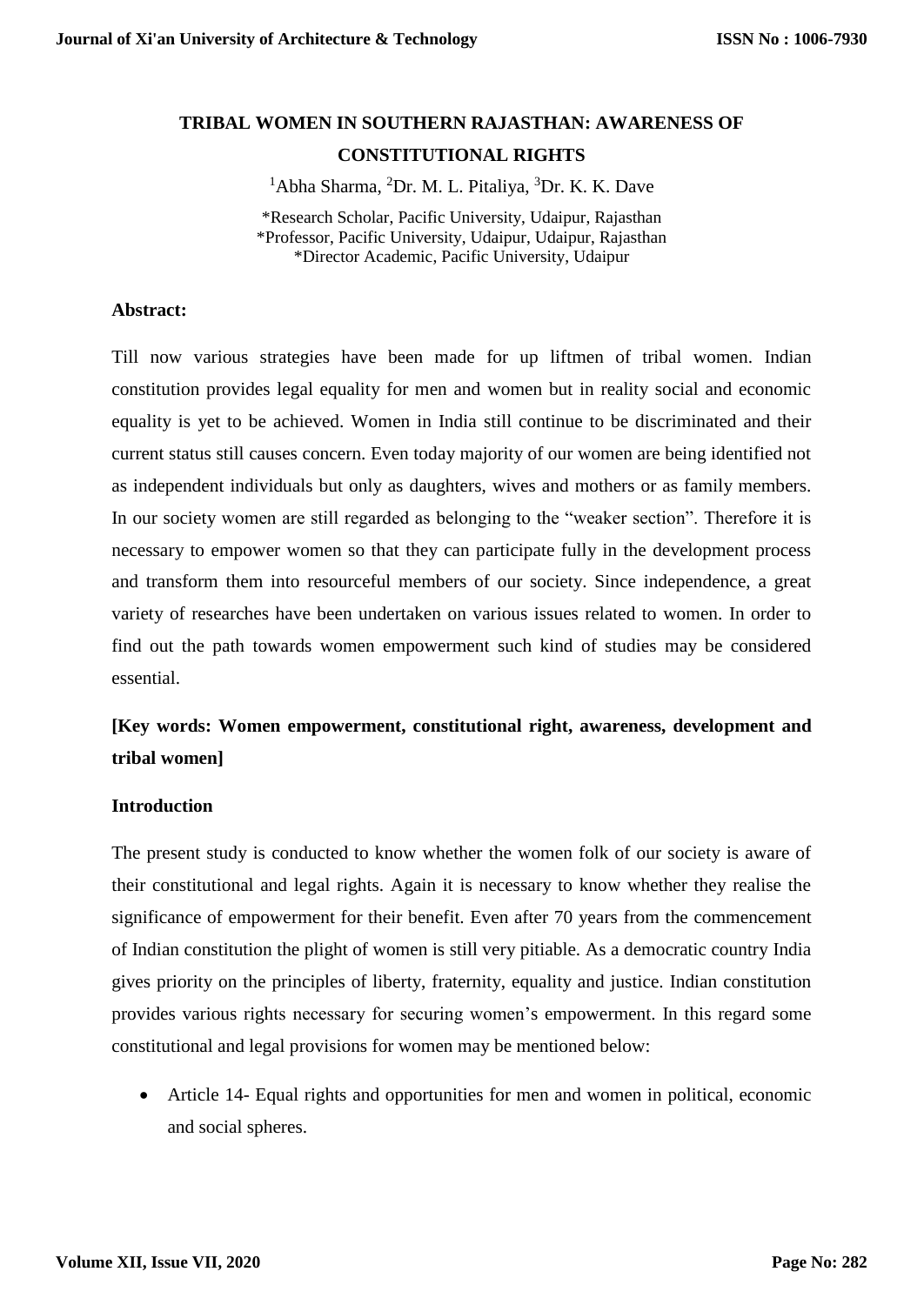# **TRIBAL WOMEN IN SOUTHERN RAJASTHAN: AWARENESS OF CONSTITUTIONAL RIGHTS**

<sup>1</sup>Abha Sharma, <sup>2</sup>Dr. M. L. Pitaliya, <sup>3</sup>Dr. K. K. Dave

\*Research Scholar, Pacific University, Udaipur, Rajasthan \*Professor, Pacific University, Udaipur, Udaipur, Rajasthan \*Director Academic, Pacific University, Udaipur

#### **Abstract:**

Till now various strategies have been made for up liftmen of tribal women. Indian constitution provides legal equality for men and women but in reality social and economic equality is yet to be achieved. Women in India still continue to be discriminated and their current status still causes concern. Even today majority of our women are being identified not as independent individuals but only as daughters, wives and mothers or as family members. In our society women are still regarded as belonging to the "weaker section". Therefore it is necessary to empower women so that they can participate fully in the development process and transform them into resourceful members of our society. Since independence, a great variety of researches have been undertaken on various issues related to women. In order to find out the path towards women empowerment such kind of studies may be considered essential.

# **[Key words: Women empowerment, constitutional right, awareness, development and tribal women]**

#### **Introduction**

The present study is conducted to know whether the women folk of our society is aware of their constitutional and legal rights. Again it is necessary to know whether they realise the significance of empowerment for their benefit. Even after 70 years from the commencement of Indian constitution the plight of women is still very pitiable. As a democratic country India gives priority on the principles of liberty, fraternity, equality and justice. Indian constitution provides various rights necessary for securing women's empowerment. In this regard some constitutional and legal provisions for women may be mentioned below:

 Article 14- Equal rights and opportunities for men and women in political, economic and social spheres.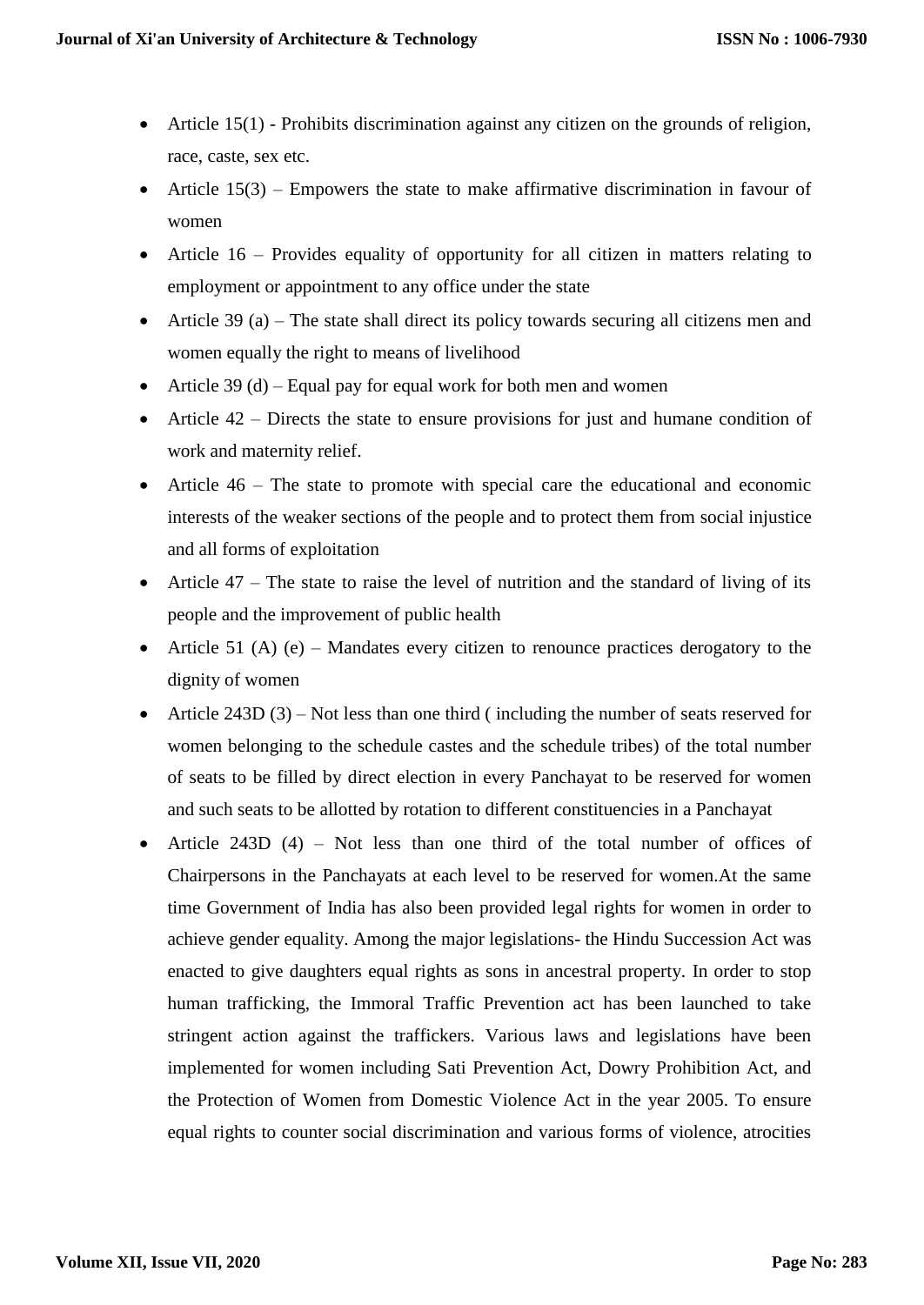- Article 15(1) Prohibits discrimination against any citizen on the grounds of religion, race, caste, sex etc.
- Article  $15(3)$  Empowers the state to make affirmative discrimination in favour of women
- Article 16 Provides equality of opportunity for all citizen in matters relating to employment or appointment to any office under the state
- Article 39 (a) The state shall direct its policy towards securing all citizens men and women equally the right to means of livelihood
- Article 39 (d) Equal pay for equal work for both men and women
- Article 42 Directs the state to ensure provisions for just and humane condition of work and maternity relief.
- Article 46 The state to promote with special care the educational and economic interests of the weaker sections of the people and to protect them from social injustice and all forms of exploitation
- Article  $47 -$ The state to raise the level of nutrition and the standard of living of its people and the improvement of public health
- Article 51 (A) (e) Mandates every citizen to renounce practices derogatory to the dignity of women
- Article 243D  $(3)$  Not less than one third (including the number of seats reserved for women belonging to the schedule castes and the schedule tribes) of the total number of seats to be filled by direct election in every Panchayat to be reserved for women and such seats to be allotted by rotation to different constituencies in a Panchayat
- Article 243D (4) Not less than one third of the total number of offices of Chairpersons in the Panchayats at each level to be reserved for women.At the same time Government of India has also been provided legal rights for women in order to achieve gender equality. Among the major legislations- the Hindu Succession Act was enacted to give daughters equal rights as sons in ancestral property. In order to stop human trafficking, the Immoral Traffic Prevention act has been launched to take stringent action against the traffickers. Various laws and legislations have been implemented for women including Sati Prevention Act, Dowry Prohibition Act, and the Protection of Women from Domestic Violence Act in the year 2005. To ensure equal rights to counter social discrimination and various forms of violence, atrocities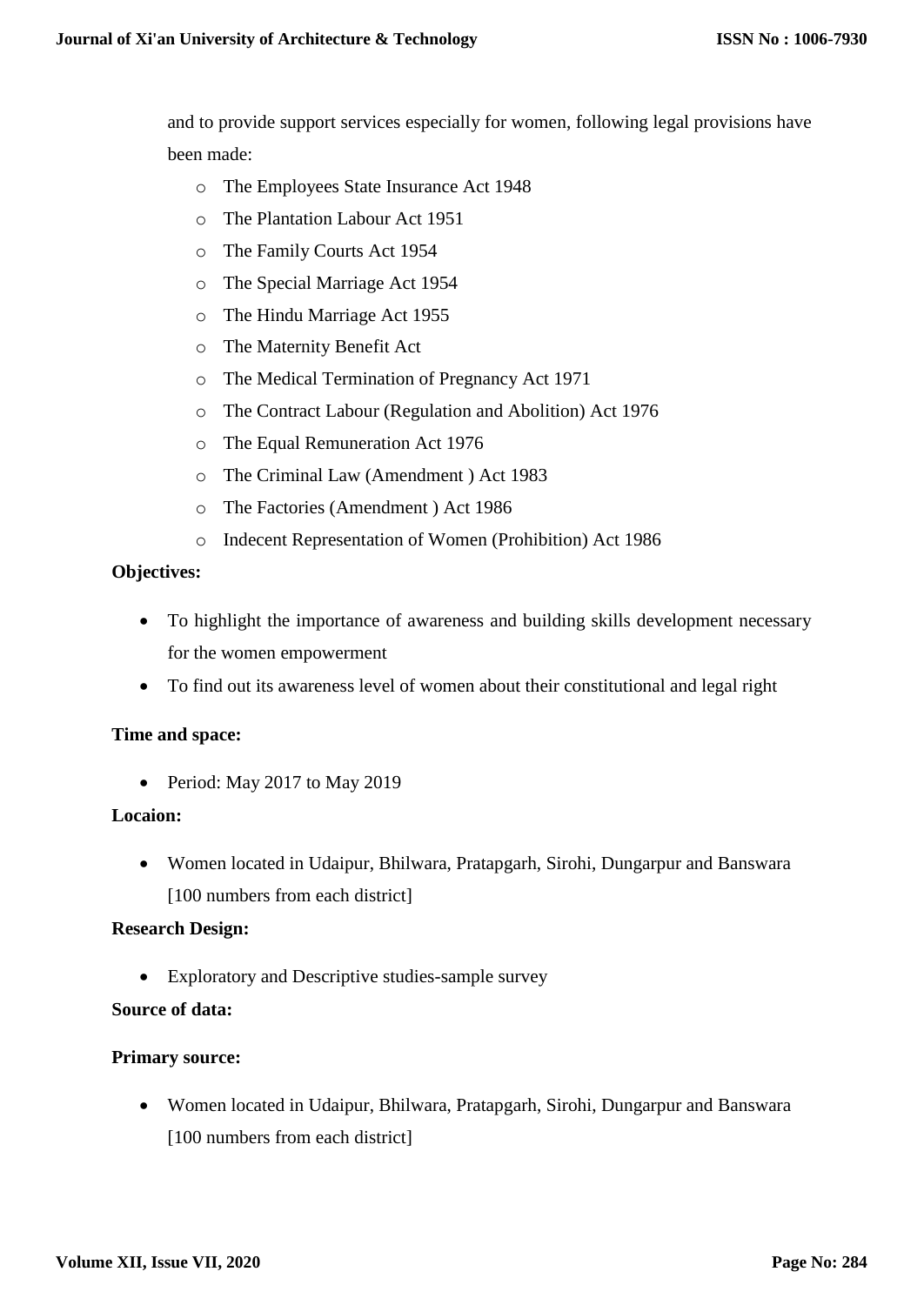and to provide support services especially for women, following legal provisions have been made:

- o The Employees State Insurance Act 1948
- o The Plantation Labour Act 1951
- o The Family Courts Act 1954
- o The Special Marriage Act 1954
- o The Hindu Marriage Act 1955
- o The Maternity Benefit Act
- o The Medical Termination of Pregnancy Act 1971
- o The Contract Labour (Regulation and Abolition) Act 1976
- o The Equal Remuneration Act 1976
- o The Criminal Law (Amendment ) Act 1983
- o The Factories (Amendment ) Act 1986
- o Indecent Representation of Women (Prohibition) Act 1986

# **Objectives:**

- To highlight the importance of awareness and building skills development necessary for the women empowerment
- To find out its awareness level of women about their constitutional and legal right

# **Time and space:**

• Period: May 2017 to May 2019

# **Locaion:**

 Women located in Udaipur, Bhilwara, Pratapgarh, Sirohi, Dungarpur and Banswara [100 numbers from each district]

## **Research Design:**

Exploratory and Descriptive studies-sample survey

# **Source of data:**

## **Primary source:**

 Women located in Udaipur, Bhilwara, Pratapgarh, Sirohi, Dungarpur and Banswara [100 numbers from each district]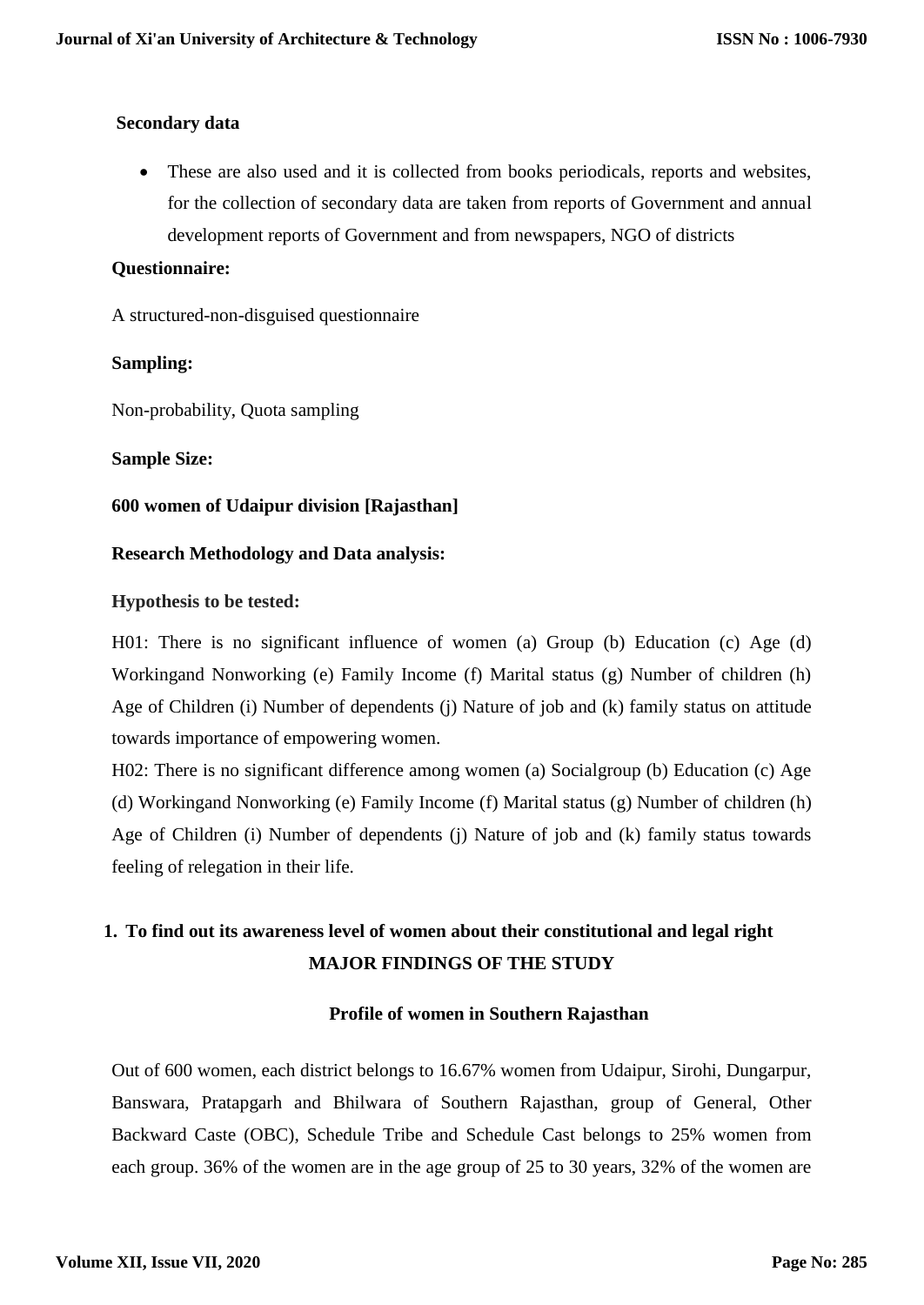## **Secondary data**

 These are also used and it is collected from books periodicals, reports and websites, for the collection of secondary data are taken from reports of Government and annual development reports of Government and from newspapers, NGO of districts

## **Questionnaire:**

A structured-non-disguised questionnaire

# **Sampling:**

Non-probability, Quota sampling

# **Sample Size:**

# **600 women of Udaipur division [Rajasthan]**

# **Research Methodology and Data analysis:**

# **Hypothesis to be tested:**

H01: There is no significant influence of women (a) Group (b) Education (c) Age (d) Workingand Nonworking (e) Family Income (f) Marital status (g) Number of children (h) Age of Children (i) Number of dependents (j) Nature of job and (k) family status on attitude towards importance of empowering women.

H02: There is no significant difference among women (a) Socialgroup (b) Education (c) Age (d) Workingand Nonworking (e) Family Income (f) Marital status (g) Number of children (h) Age of Children (i) Number of dependents (j) Nature of job and (k) family status towards feeling of relegation in their life.

# **1. To find out its awareness level of women about their constitutional and legal right MAJOR FINDINGS OF THE STUDY**

## **Profile of women in Southern Rajasthan**

Out of 600 women, each district belongs to 16.67% women from Udaipur, Sirohi, Dungarpur, Banswara, Pratapgarh and Bhilwara of Southern Rajasthan, group of General, Other Backward Caste (OBC), Schedule Tribe and Schedule Cast belongs to 25% women from each group. 36% of the women are in the age group of 25 to 30 years, 32% of the women are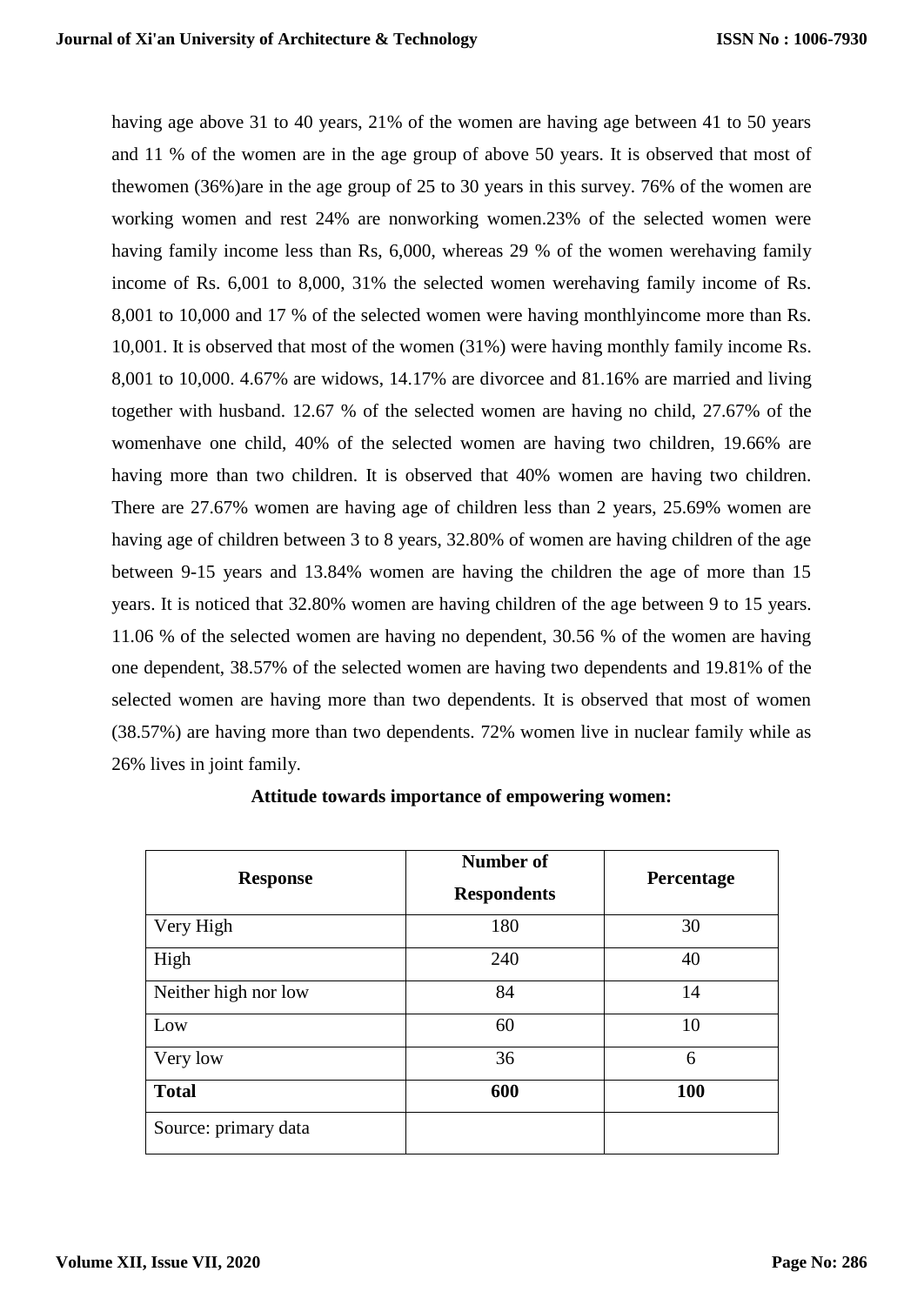having age above 31 to 40 years, 21% of the women are having age between 41 to 50 years and 11 % of the women are in the age group of above 50 years. It is observed that most of thewomen (36%)are in the age group of 25 to 30 years in this survey. 76% of the women are working women and rest 24% are nonworking women.23% of the selected women were having family income less than Rs, 6,000, whereas 29 % of the women werehaving family income of Rs. 6,001 to 8,000, 31% the selected women werehaving family income of Rs. 8,001 to 10,000 and 17 % of the selected women were having monthlyincome more than Rs. 10,001. It is observed that most of the women (31%) were having monthly family income Rs. 8,001 to 10,000. 4.67% are widows, 14.17% are divorcee and 81.16% are married and living together with husband. 12.67 % of the selected women are having no child, 27.67% of the womenhave one child, 40% of the selected women are having two children, 19.66% are having more than two children. It is observed that 40% women are having two children. There are 27.67% women are having age of children less than 2 years, 25.69% women are having age of children between 3 to 8 years, 32.80% of women are having children of the age between 9-15 years and 13.84% women are having the children the age of more than 15 years. It is noticed that 32.80% women are having children of the age between 9 to 15 years. 11.06 % of the selected women are having no dependent, 30.56 % of the women are having one dependent, 38.57% of the selected women are having two dependents and 19.81% of the selected women are having more than two dependents. It is observed that most of women (38.57%) are having more than two dependents. 72% women live in nuclear family while as 26% lives in joint family.

| <b>Response</b>      | Number of<br><b>Respondents</b> | Percentage |
|----------------------|---------------------------------|------------|
| Very High            | 180                             | 30         |
| High                 | 240                             | 40         |
| Neither high nor low | 84                              | 14         |
| Low                  | 60                              | 10         |
| Very low             | 36                              | 6          |
| <b>Total</b>         | 600                             | <b>100</b> |
| Source: primary data |                                 |            |

**Attitude towards importance of empowering women:**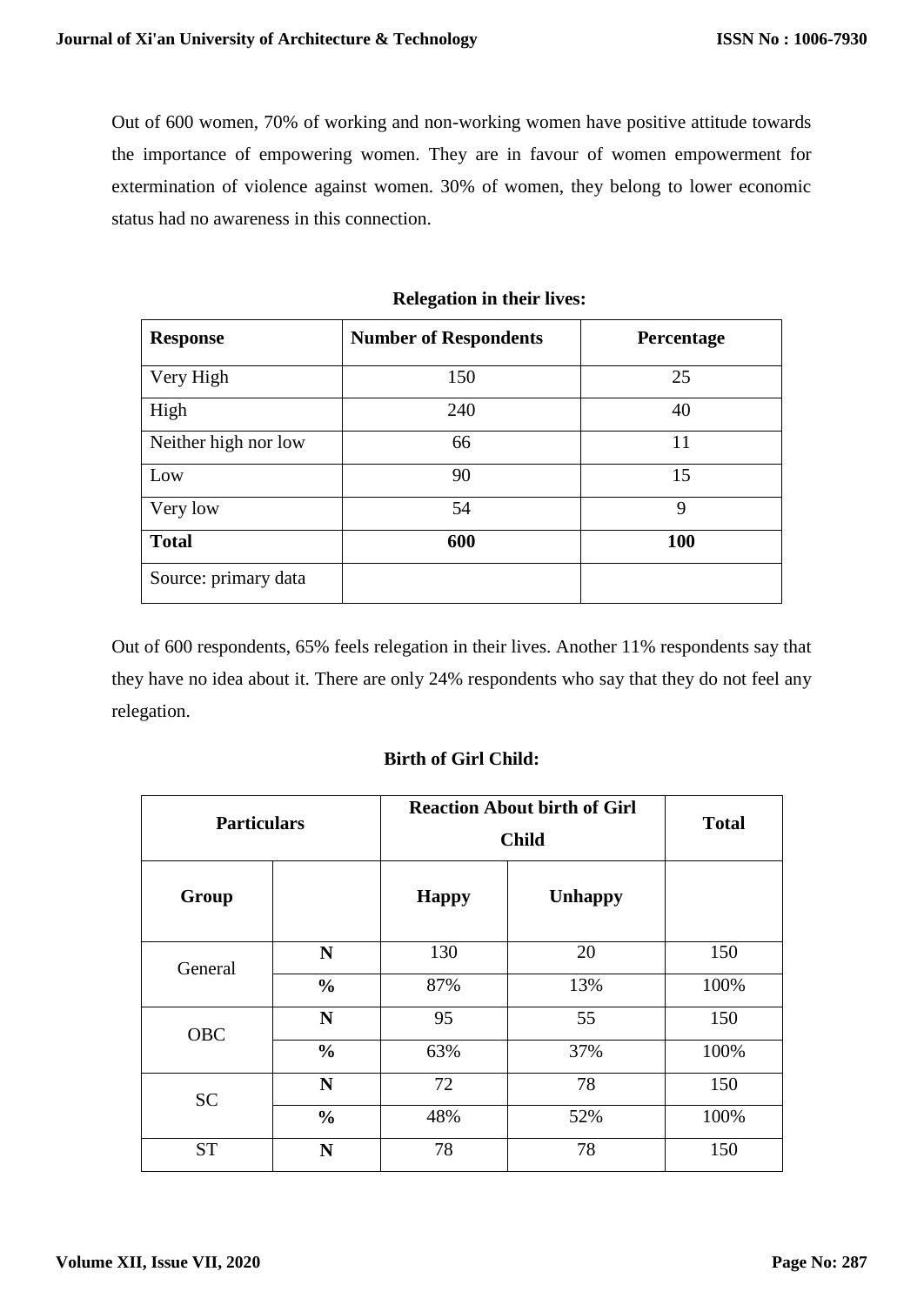Out of 600 women, 70% of working and non-working women have positive attitude towards the importance of empowering women. They are in favour of women empowerment for extermination of violence against women. 30% of women, they belong to lower economic status had no awareness in this connection.

| <b>Response</b>      | <b>Number of Respondents</b> | Percentage |
|----------------------|------------------------------|------------|
| Very High            | 150                          | 25         |
| High                 | 240                          | 40         |
| Neither high nor low | 66                           | 11         |
| Low                  | 90                           | 15         |
| Very low             | 54                           | 9          |
| <b>Total</b>         | 600                          | 100        |
| Source: primary data |                              |            |

#### **Relegation in their lives:**

Out of 600 respondents, 65% feels relegation in their lives. Another 11% respondents say that they have no idea about it. There are only 24% respondents who say that they do not feel any relegation.

## **Birth of Girl Child:**

| <b>Particulars</b> |               | <b>Reaction About birth of Girl</b><br><b>Child</b> |                | <b>Total</b> |
|--------------------|---------------|-----------------------------------------------------|----------------|--------------|
| Group              |               | <b>Happy</b>                                        | <b>Unhappy</b> |              |
|                    | N             | 130                                                 | 20             | 150          |
| General            | $\frac{0}{0}$ | 87%                                                 | 13%            | 100%         |
| OBC                | $\mathbf N$   | 95                                                  | 55             | 150          |
|                    | $\frac{0}{0}$ | 63%                                                 | 37%            | 100%         |
| <b>SC</b>          | N             | 72                                                  | 78             | 150          |
|                    | $\frac{0}{0}$ | 48%                                                 | 52%            | 100%         |
| <b>ST</b>          | N             | 78                                                  | 78             | 150          |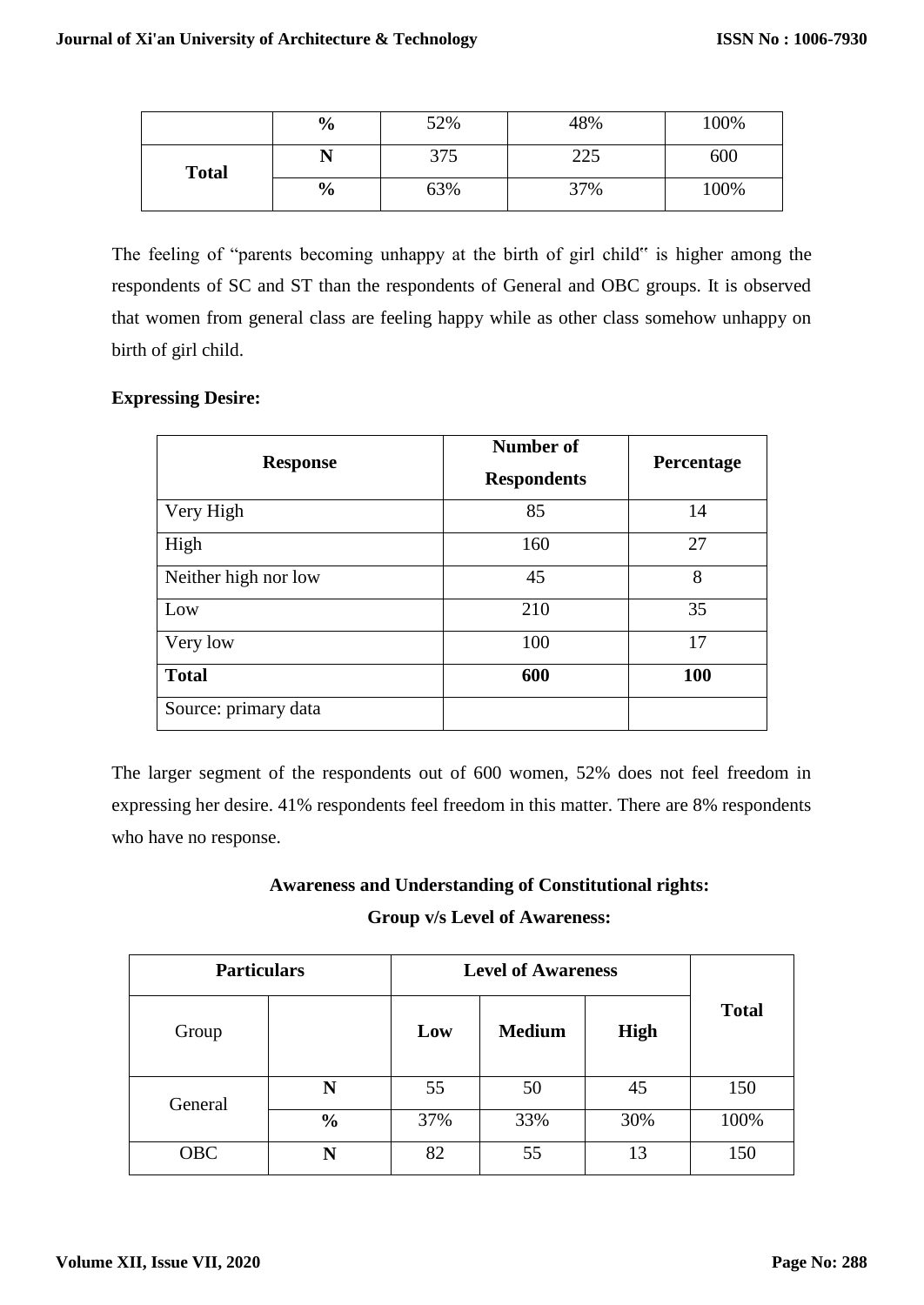|              | $\frac{6}{9}$ | 52% | 48% | 100% |
|--------------|---------------|-----|-----|------|
| <b>Total</b> |               | 375 | 225 | 600  |
|              | $\frac{6}{9}$ | 63% | 37% | 100% |

The feeling of "parents becoming unhappy at the birth of girl child" is higher among the respondents of SC and ST than the respondents of General and OBC groups. It is observed that women from general class are feeling happy while as other class somehow unhappy on birth of girl child.

# **Expressing Desire:**

| <b>Response</b>      | Number of<br><b>Respondents</b> | Percentage |
|----------------------|---------------------------------|------------|
| Very High            | 85                              | 14         |
| High                 | 160                             | 27         |
| Neither high nor low | 45                              | 8          |
| Low                  | 210                             | 35         |
| Very low             | 100                             | 17         |
| <b>Total</b>         | 600                             | 100        |
| Source: primary data |                                 |            |

The larger segment of the respondents out of 600 women, 52% does not feel freedom in expressing her desire. 41% respondents feel freedom in this matter. There are 8% respondents who have no response.

# **Awareness and Understanding of Constitutional rights:**

## **Group v/s Level of Awareness:**

| <b>Particulars</b> |               | <b>Level of Awareness</b> |               |             |              |
|--------------------|---------------|---------------------------|---------------|-------------|--------------|
| Group              |               | Low                       | <b>Medium</b> | <b>High</b> | <b>Total</b> |
| General            | N             | 55                        | 50            | 45          | 150          |
|                    | $\frac{0}{0}$ | 37%                       | 33%           | 30%         | 100%         |
| <b>OBC</b>         | N             | 82                        | 55            | 13          | 150          |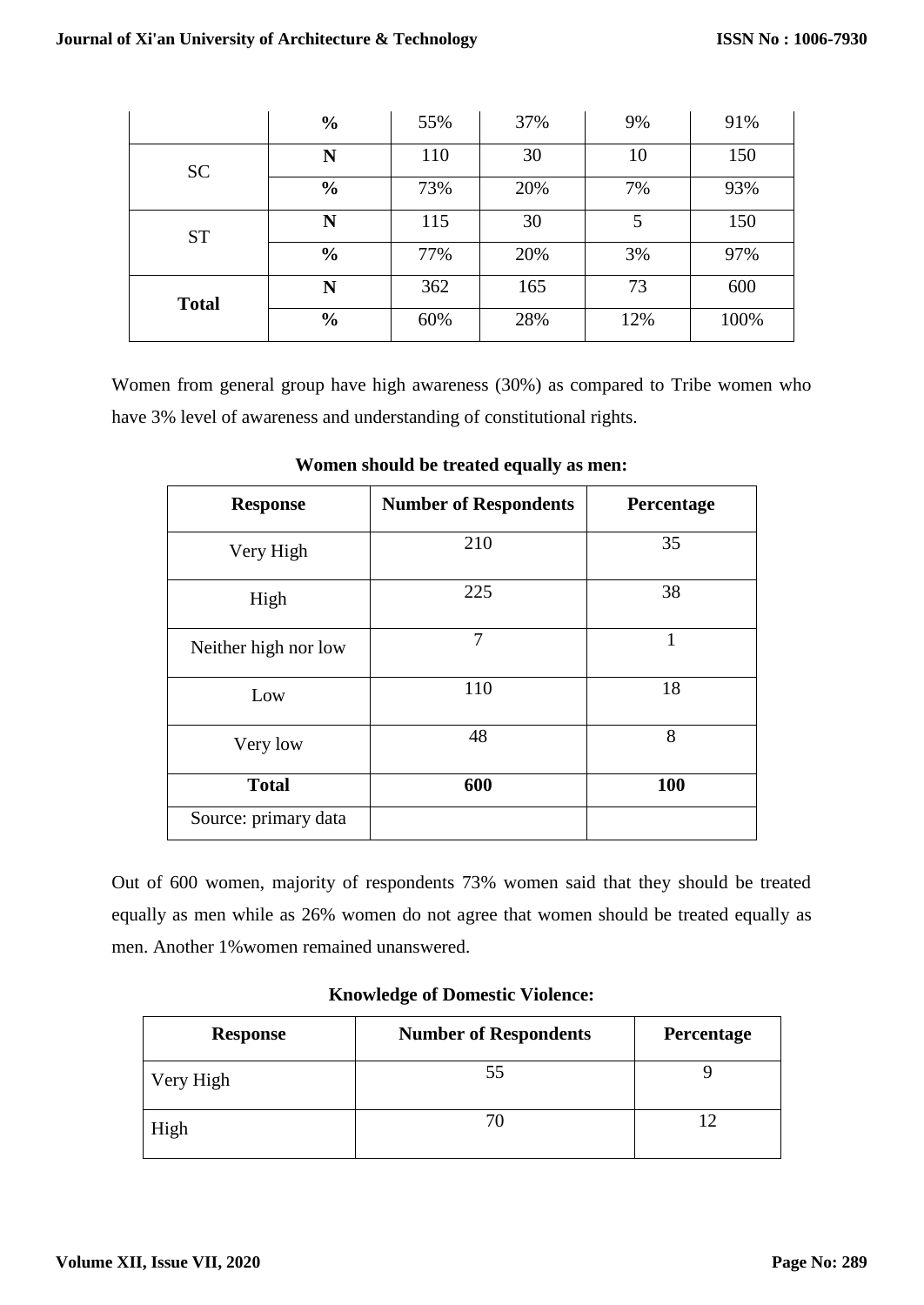|              | $\frac{0}{0}$ | 55% | 37% | 9%  | 91%  |
|--------------|---------------|-----|-----|-----|------|
| <b>SC</b>    | N             | 110 | 30  | 10  | 150  |
|              | $\frac{0}{0}$ | 73% | 20% | 7%  | 93%  |
| <b>ST</b>    | N             | 115 | 30  | 5   | 150  |
|              | $\frac{0}{0}$ | 77% | 20% | 3%  | 97%  |
| <b>Total</b> | N             | 362 | 165 | 73  | 600  |
|              | $\frac{6}{6}$ | 60% | 28% | 12% | 100% |

Women from general group have high awareness (30%) as compared to Tribe women who have 3% level of awareness and understanding of constitutional rights.

| <b>Response</b>      | <b>Number of Respondents</b> | Percentage |
|----------------------|------------------------------|------------|
| Very High            | 210                          | 35         |
| High                 | 225                          | 38         |
| Neither high nor low | $\overline{7}$               | 1          |
| Low                  | 110                          | 18         |
| Very low             | 48                           | 8          |
| <b>Total</b>         | 600                          | 100        |
| Source: primary data |                              |            |

**Women should be treated equally as men:**

Out of 600 women, majority of respondents 73% women said that they should be treated equally as men while as 26% women do not agree that women should be treated equally as men. Another 1%women remained unanswered.

## **Knowledge of Domestic Violence:**

| <b>Response</b> | <b>Number of Respondents</b> | Percentage |
|-----------------|------------------------------|------------|
| Very High       |                              |            |
| High            |                              |            |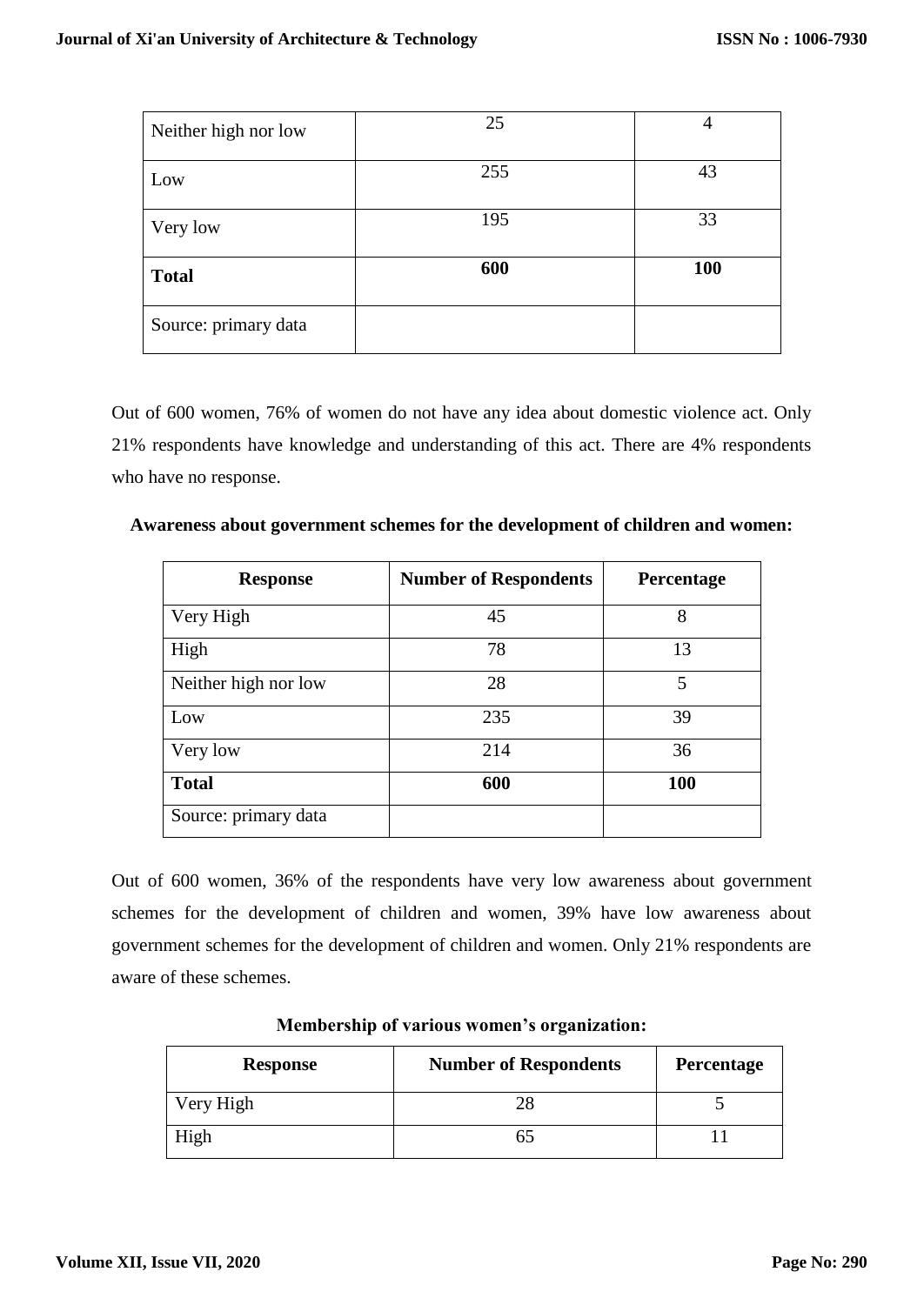| Neither high nor low | 25  | 4          |
|----------------------|-----|------------|
| Low                  | 255 | 43         |
| Very low             | 195 | 33         |
| <b>Total</b>         | 600 | <b>100</b> |
| Source: primary data |     |            |

Out of 600 women, 76% of women do not have any idea about domestic violence act. Only 21% respondents have knowledge and understanding of this act. There are 4% respondents who have no response.

| <b>Response</b>      | <b>Number of Respondents</b> | Percentage |
|----------------------|------------------------------|------------|
| Very High            | 45                           | 8          |
| High                 | 78                           | 13         |
| Neither high nor low | 28                           | 5          |
| Low                  | 235                          | 39         |
| Very low             | 214                          | 36         |
| <b>Total</b>         | 600                          | <b>100</b> |
| Source: primary data |                              |            |

**Awareness about government schemes for the development of children and women:**

Out of 600 women, 36% of the respondents have very low awareness about government schemes for the development of children and women, 39% have low awareness about government schemes for the development of children and women. Only 21% respondents are aware of these schemes.

| <b>Response</b> | <b>Number of Respondents</b> | Percentage |
|-----------------|------------------------------|------------|
| Very High       |                              |            |
| High            |                              |            |

**Membership of various women's organization:**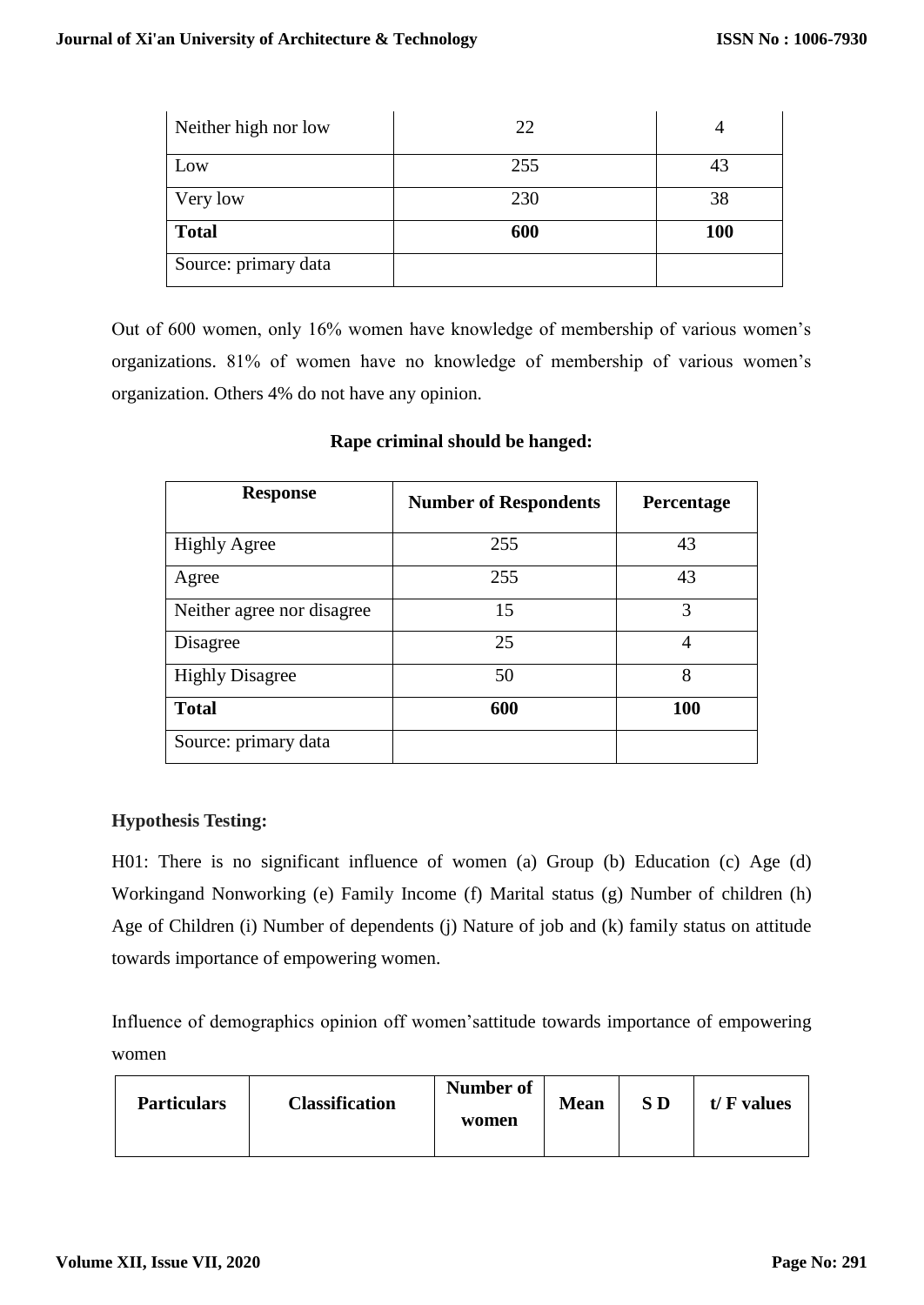| Neither high nor low | 22  |            |
|----------------------|-----|------------|
| Low                  | 255 | 43         |
| Very low             | 230 | 38         |
| <b>Total</b>         | 600 | <b>100</b> |
| Source: primary data |     |            |

Out of 600 women, only 16% women have knowledge of membership of various women's organizations. 81% of women have no knowledge of membership of various women's organization. Others 4% do not have any opinion.

| <b>Response</b>            | <b>Number of Respondents</b> | Percentage |
|----------------------------|------------------------------|------------|
| <b>Highly Agree</b>        | 255                          | 43         |
| Agree                      | 255                          | 43         |
| Neither agree nor disagree | 15                           | 3          |
| Disagree                   | 25                           | 4          |
| <b>Highly Disagree</b>     | 50                           | 8          |
| <b>Total</b>               | 600                          | 100        |
| Source: primary data       |                              |            |

# **Rape criminal should be hanged:**

# **Hypothesis Testing:**

H01: There is no significant influence of women (a) Group (b) Education (c) Age (d) Workingand Nonworking (e) Family Income (f) Marital status (g) Number of children (h) Age of Children (i) Number of dependents (j) Nature of job and (k) family status on attitude towards importance of empowering women.

Influence of demographics opinion off women'sattitude towards importance of empowering women

| <b>Classification</b><br><b>Particulars</b> | Number of<br>women | <b>Mean</b> | S D | $t/F$ values |
|---------------------------------------------|--------------------|-------------|-----|--------------|
|---------------------------------------------|--------------------|-------------|-----|--------------|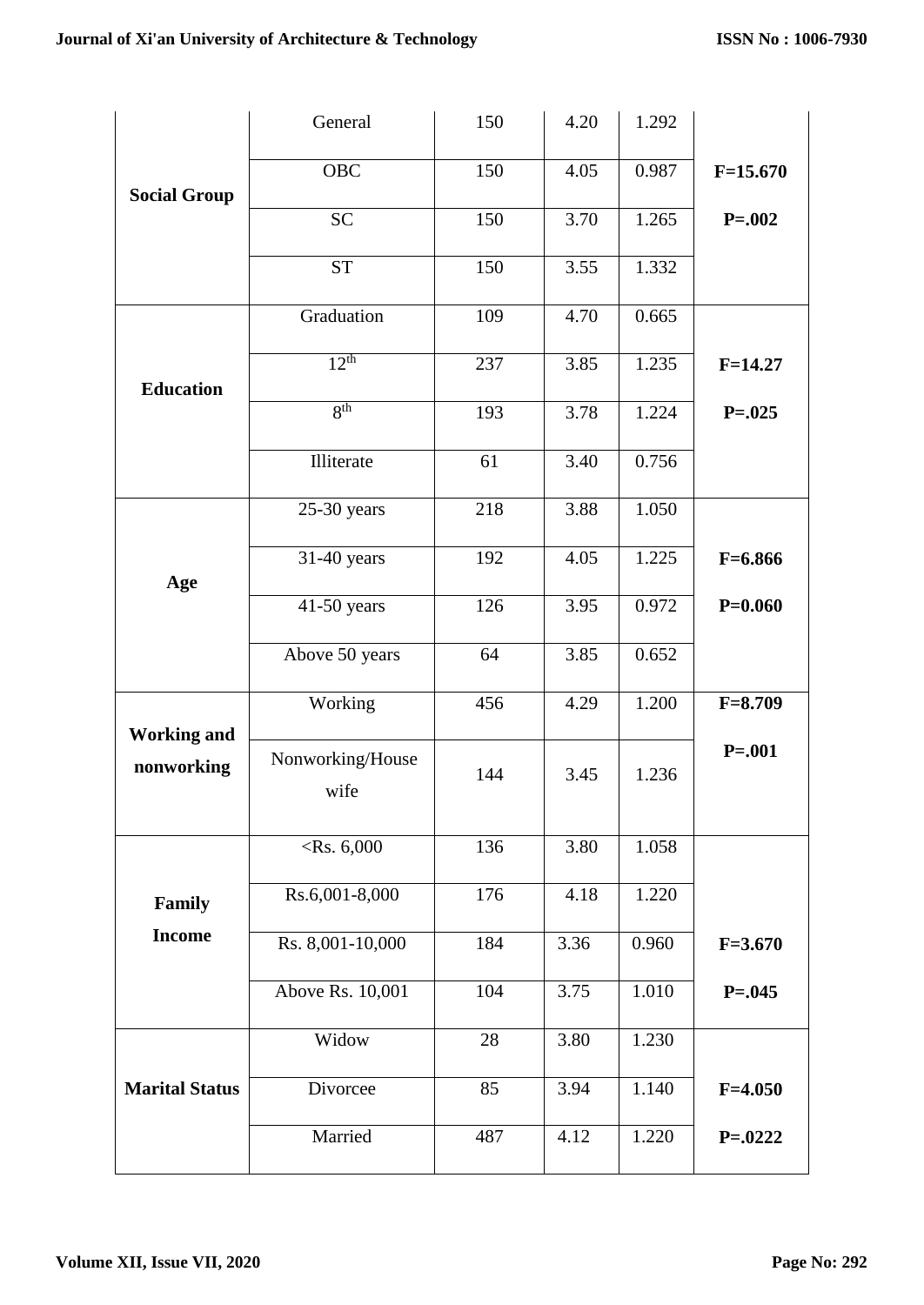|                       | General                  | 150 | 4.20 | 1.292 |             |
|-----------------------|--------------------------|-----|------|-------|-------------|
| <b>Social Group</b>   | <b>OBC</b>               | 150 | 4.05 | 0.987 | $F=15.670$  |
|                       | <b>SC</b>                | 150 | 3.70 | 1.265 | $P = 0.002$ |
|                       | <b>ST</b>                | 150 | 3.55 | 1.332 |             |
|                       | Graduation               | 109 | 4.70 | 0.665 |             |
| <b>Education</b>      | 12 <sup>th</sup>         | 237 | 3.85 | 1.235 | $F=14.27$   |
|                       | 8 <sup>th</sup>          | 193 | 3.78 | 1.224 | $P = 0.025$ |
|                       | Illiterate               | 61  | 3.40 | 0.756 |             |
|                       | $25-30$ years            | 218 | 3.88 | 1.050 |             |
| Age                   | 31-40 years              | 192 | 4.05 | 1.225 | $F=6.866$   |
|                       | 41-50 years              | 126 | 3.95 | 0.972 | $P=0.060$   |
|                       | Above 50 years           | 64  | 3.85 | 0.652 |             |
| <b>Working and</b>    | Working                  | 456 | 4.29 | 1.200 | $F = 8.709$ |
| nonworking            | Nonworking/House<br>wife | 144 | 3.45 | 1.236 | $P = 001$   |
|                       | $<$ Rs. 6,000            | 136 | 3.80 | 1.058 |             |
| Family                | Rs.6,001-8,000           | 176 | 4.18 | 1.220 |             |
| <b>Income</b>         | Rs. 8,001-10,000         | 184 | 3.36 | 0.960 | $F = 3.670$ |
|                       | Above Rs. 10,001         | 104 | 3.75 | 1.010 | $P = 0.045$ |
|                       | Widow                    | 28  | 3.80 | 1.230 |             |
| <b>Marital Status</b> | Divorcee                 | 85  | 3.94 | 1.140 | $F = 4.050$ |
|                       | Married                  | 487 | 4.12 | 1.220 | $P = 0222$  |
|                       |                          |     |      |       |             |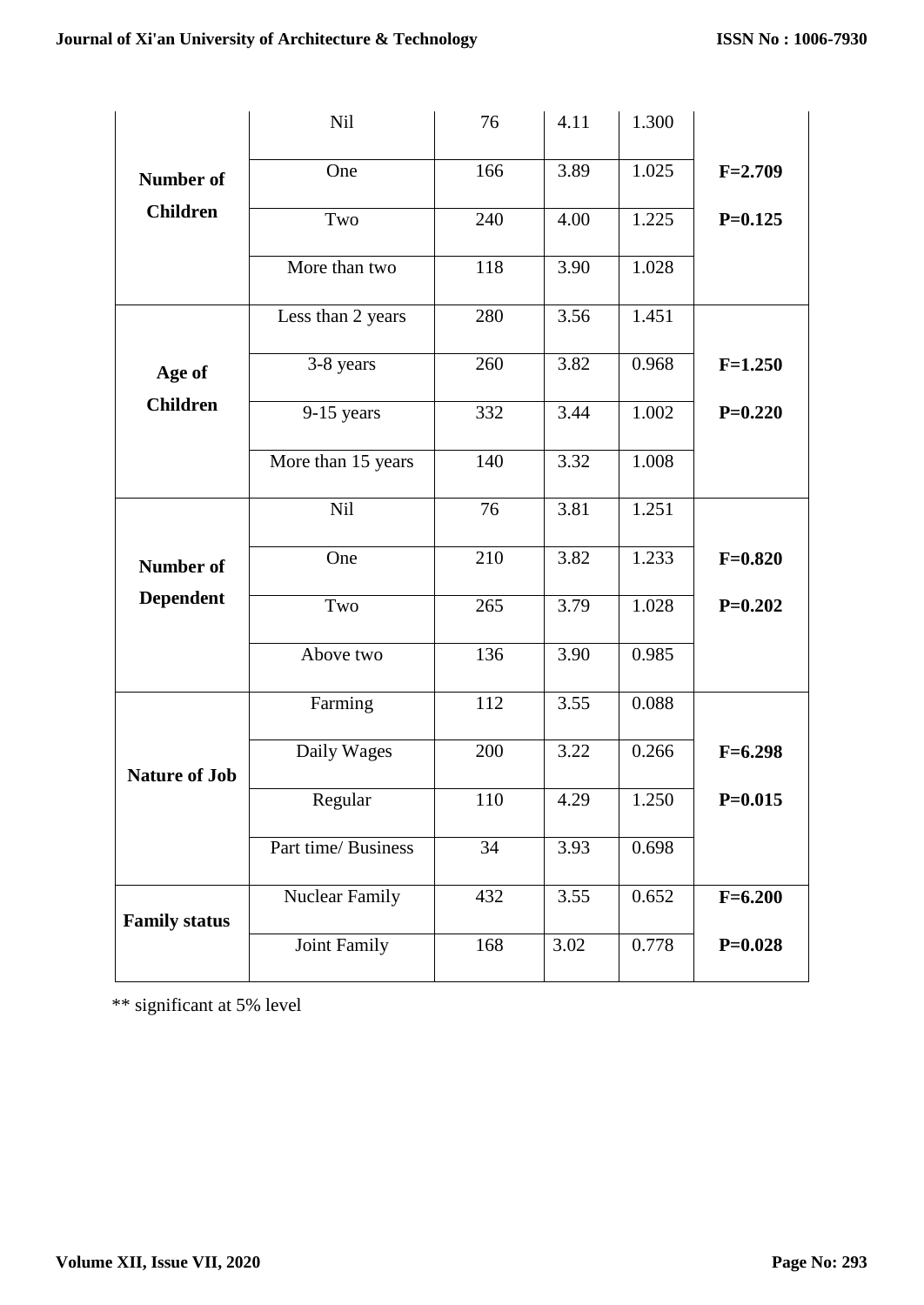|                      | Nil                 | 76  | 4.11 | 1.300 |             |
|----------------------|---------------------|-----|------|-------|-------------|
| <b>Number of</b>     | One                 | 166 | 3.89 | 1.025 | $F = 2.709$ |
| <b>Children</b>      | Two                 | 240 | 4.00 | 1.225 | $P=0.125$   |
|                      | More than two       | 118 | 3.90 | 1.028 |             |
|                      | Less than 2 years   | 280 | 3.56 | 1.451 |             |
| Age of               | 3-8 years           | 260 | 3.82 | 0.968 | $F=1.250$   |
| <b>Children</b>      | $9-15$ years        | 332 | 3.44 | 1.002 | $P=0.220$   |
|                      | More than 15 years  | 140 | 3.32 | 1.008 |             |
|                      | Nil                 | 76  | 3.81 | 1.251 |             |
| <b>Number of</b>     | One                 | 210 | 3.82 | 1.233 | $F=0.820$   |
| <b>Dependent</b>     | Two                 | 265 | 3.79 | 1.028 | $P=0.202$   |
|                      | Above two           | 136 | 3.90 | 0.985 |             |
|                      | Farming             | 112 | 3.55 | 0.088 |             |
| <b>Nature of Job</b> | Daily Wages         | 200 | 3.22 | 0.266 | $F=6.298$   |
|                      | Regular             | 110 | 4.29 | 1.250 | $P=0.015$   |
|                      | Part time/ Business | 34  | 3.93 | 0.698 |             |
| <b>Family status</b> | Nuclear Family      | 432 | 3.55 | 0.652 | $F=6.200$   |
|                      | Joint Family        | 168 | 3.02 | 0.778 | $P=0.028$   |

\*\* significant at 5% level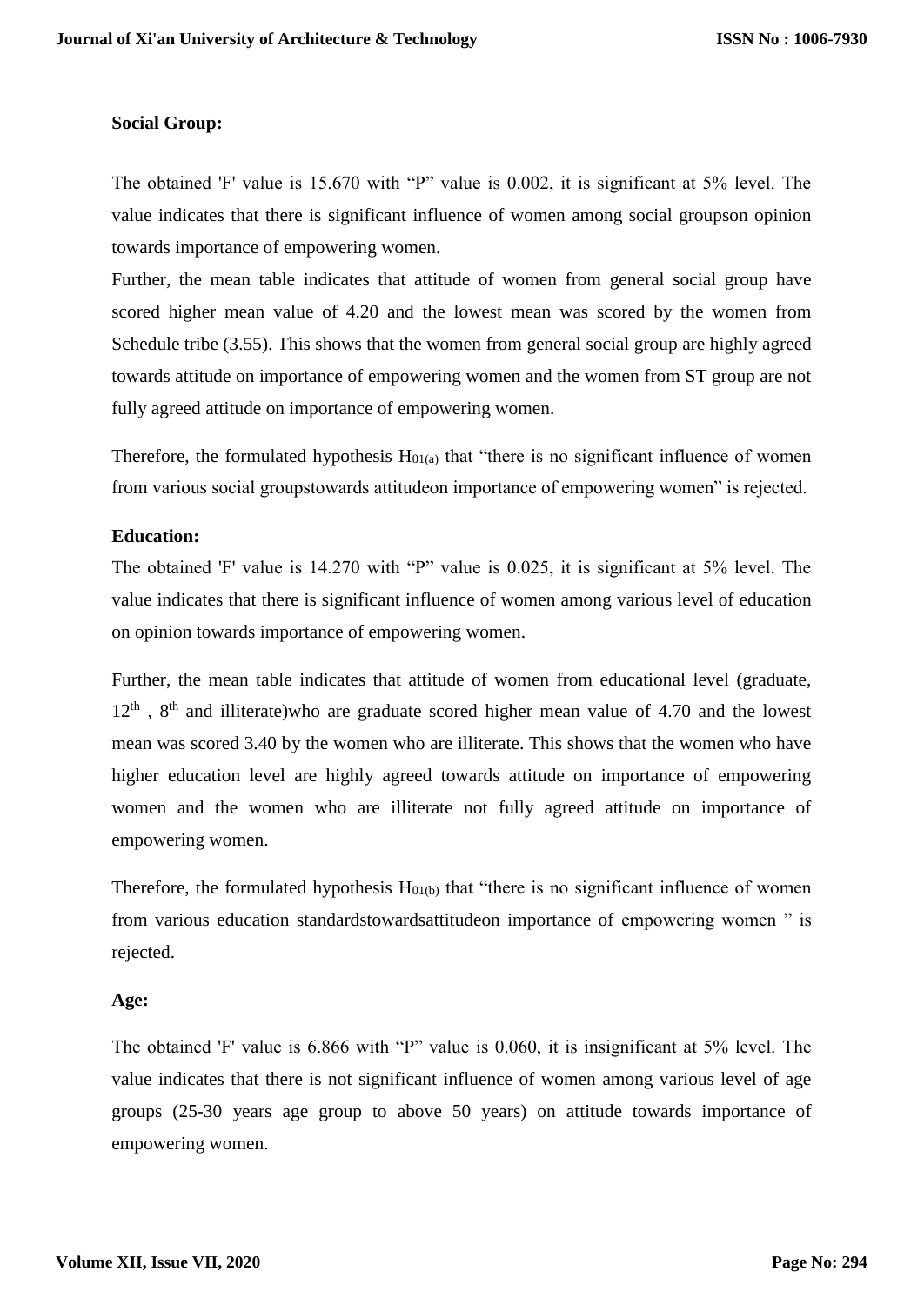#### **Social Group:**

The obtained 'F' value is 15.670 with "P" value is 0.002, it is significant at 5% level. The value indicates that there is significant influence of women among social groupson opinion towards importance of empowering women.

Further, the mean table indicates that attitude of women from general social group have scored higher mean value of 4.20 and the lowest mean was scored by the women from Schedule tribe (3.55). This shows that the women from general social group are highly agreed towards attitude on importance of empowering women and the women from ST group are not fully agreed attitude on importance of empowering women.

Therefore, the formulated hypothesis  $H_{01(a)}$  that "there is no significant influence of women from various social groupstowards attitudeon importance of empowering women" is rejected.

#### **Education:**

The obtained 'F' value is 14.270 with "P" value is 0.025, it is significant at 5% level. The value indicates that there is significant influence of women among various level of education on opinion towards importance of empowering women.

Further, the mean table indicates that attitude of women from educational level (graduate,  $12<sup>th</sup>$ ,  $8<sup>th</sup>$  and illiterate)who are graduate scored higher mean value of 4.70 and the lowest mean was scored 3.40 by the women who are illiterate. This shows that the women who have higher education level are highly agreed towards attitude on importance of empowering women and the women who are illiterate not fully agreed attitude on importance of empowering women.

Therefore, the formulated hypothesis  $H<sub>01(b)</sub>$  that "there is no significant influence of women from various education standardstowardsattitudeon importance of empowering women " is rejected.

#### **Age:**

The obtained 'F' value is 6.866 with "P" value is 0.060, it is insignificant at 5% level. The value indicates that there is not significant influence of women among various level of age groups (25-30 years age group to above 50 years) on attitude towards importance of empowering women.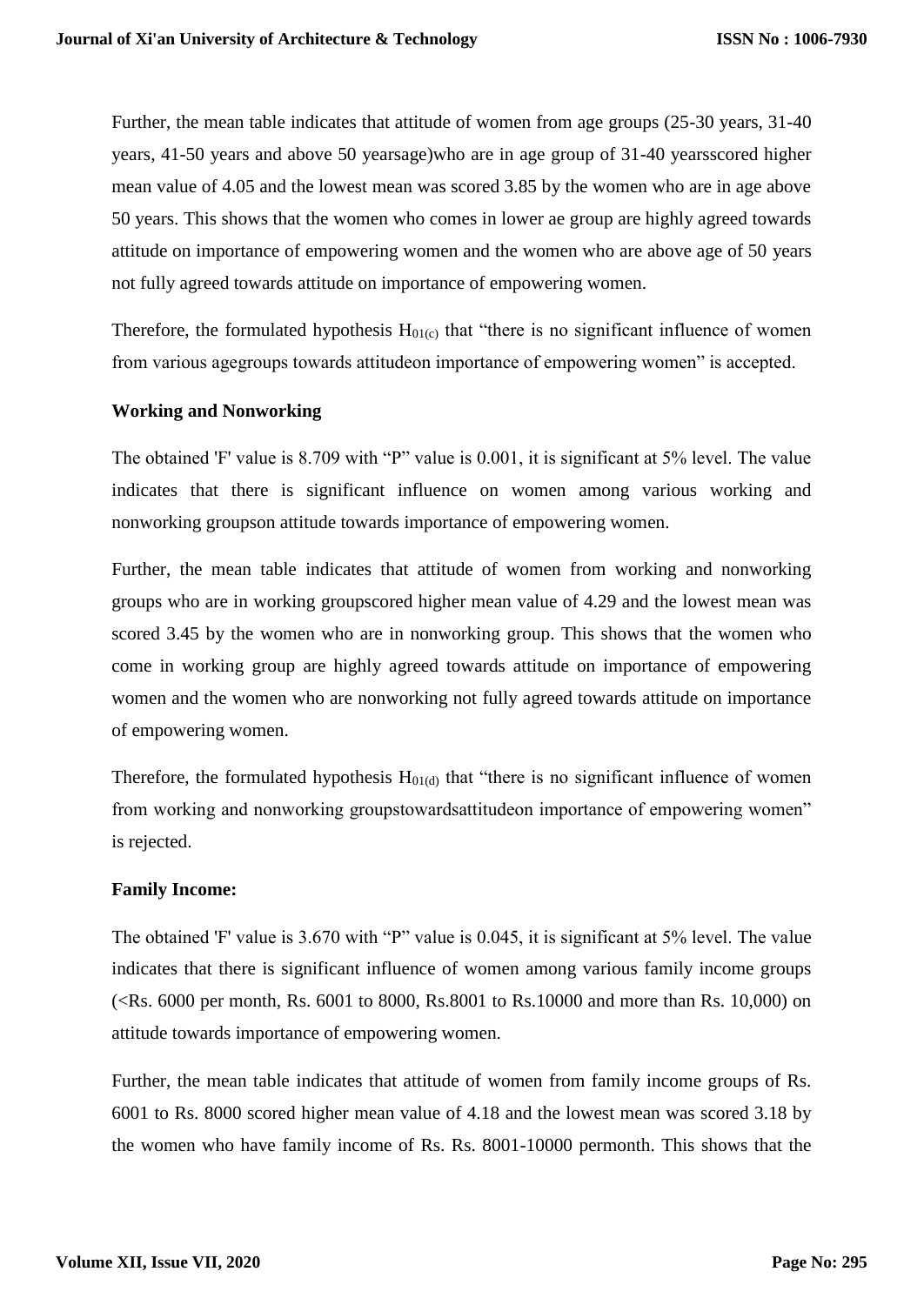Further, the mean table indicates that attitude of women from age groups (25-30 years, 31-40 years, 41-50 years and above 50 yearsage)who are in age group of 31-40 yearsscored higher mean value of 4.05 and the lowest mean was scored 3.85 by the women who are in age above 50 years. This shows that the women who comes in lower ae group are highly agreed towards attitude on importance of empowering women and the women who are above age of 50 years not fully agreed towards attitude on importance of empowering women.

Therefore, the formulated hypothesis  $H_{01(c)}$  that "there is no significant influence of women from various agegroups towards attitudeon importance of empowering women" is accepted.

# **Working and Nonworking**

The obtained 'F' value is 8.709 with "P" value is 0.001, it is significant at 5% level. The value indicates that there is significant influence on women among various working and nonworking groupson attitude towards importance of empowering women.

Further, the mean table indicates that attitude of women from working and nonworking groups who are in working groupscored higher mean value of 4.29 and the lowest mean was scored 3.45 by the women who are in nonworking group. This shows that the women who come in working group are highly agreed towards attitude on importance of empowering women and the women who are nonworking not fully agreed towards attitude on importance of empowering women.

Therefore, the formulated hypothesis  $H<sub>01(d)</sub>$  that "there is no significant influence of women from working and nonworking groupstowardsattitudeon importance of empowering women" is rejected.

## **Family Income:**

The obtained 'F' value is 3.670 with "P" value is 0.045, it is significant at 5% level. The value indicates that there is significant influence of women among various family income groups (<Rs. 6000 per month, Rs. 6001 to 8000, Rs.8001 to Rs.10000 and more than Rs. 10,000) on attitude towards importance of empowering women.

Further, the mean table indicates that attitude of women from family income groups of Rs. 6001 to Rs. 8000 scored higher mean value of 4.18 and the lowest mean was scored 3.18 by the women who have family income of Rs. Rs. 8001-10000 permonth. This shows that the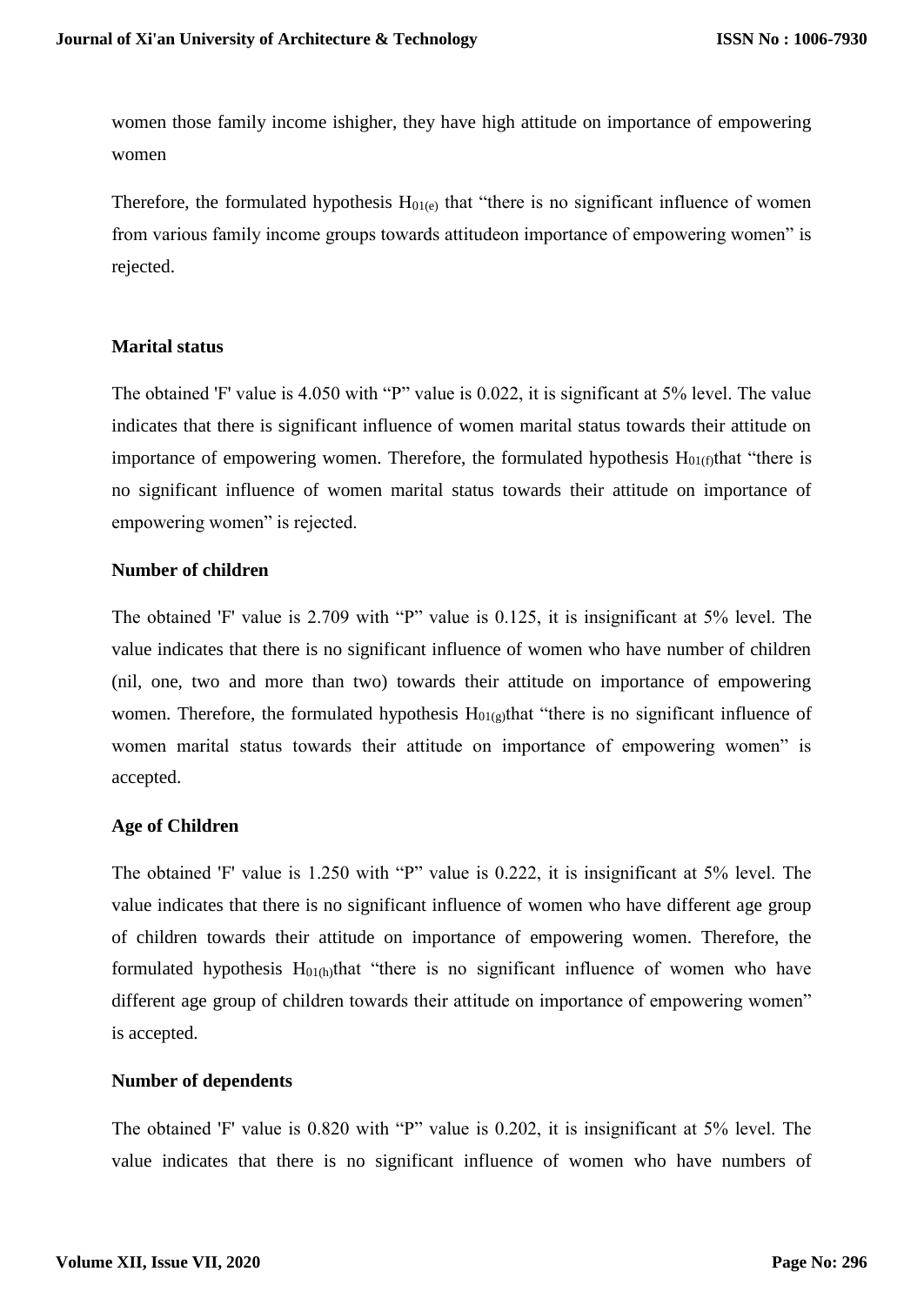women those family income ishigher, they have high attitude on importance of empowering women

Therefore, the formulated hypothesis  $H<sub>01(e)</sub>$  that "there is no significant influence of women from various family income groups towards attitudeon importance of empowering women" is rejected.

#### **Marital status**

The obtained 'F' value is 4.050 with "P" value is 0.022, it is significant at 5% level. The value indicates that there is significant influence of women marital status towards their attitude on importance of empowering women. Therefore, the formulated hypothesis  $H<sub>01(f)</sub>$ that "there is no significant influence of women marital status towards their attitude on importance of empowering women" is rejected.

#### **Number of children**

The obtained 'F' value is 2.709 with "P" value is 0.125, it is insignificant at 5% level. The value indicates that there is no significant influence of women who have number of children (nil, one, two and more than two) towards their attitude on importance of empowering women. Therefore, the formulated hypothesis  $H<sub>01(g)</sub>$ that "there is no significant influence of women marital status towards their attitude on importance of empowering women" is accepted.

## **Age of Children**

The obtained 'F' value is 1.250 with "P" value is 0.222, it is insignificant at 5% level. The value indicates that there is no significant influence of women who have different age group of children towards their attitude on importance of empowering women. Therefore, the formulated hypothesis  $H_{01(h)}$ that "there is no significant influence of women who have different age group of children towards their attitude on importance of empowering women" is accepted.

## **Number of dependents**

The obtained 'F' value is 0.820 with "P" value is 0.202, it is insignificant at 5% level. The value indicates that there is no significant influence of women who have numbers of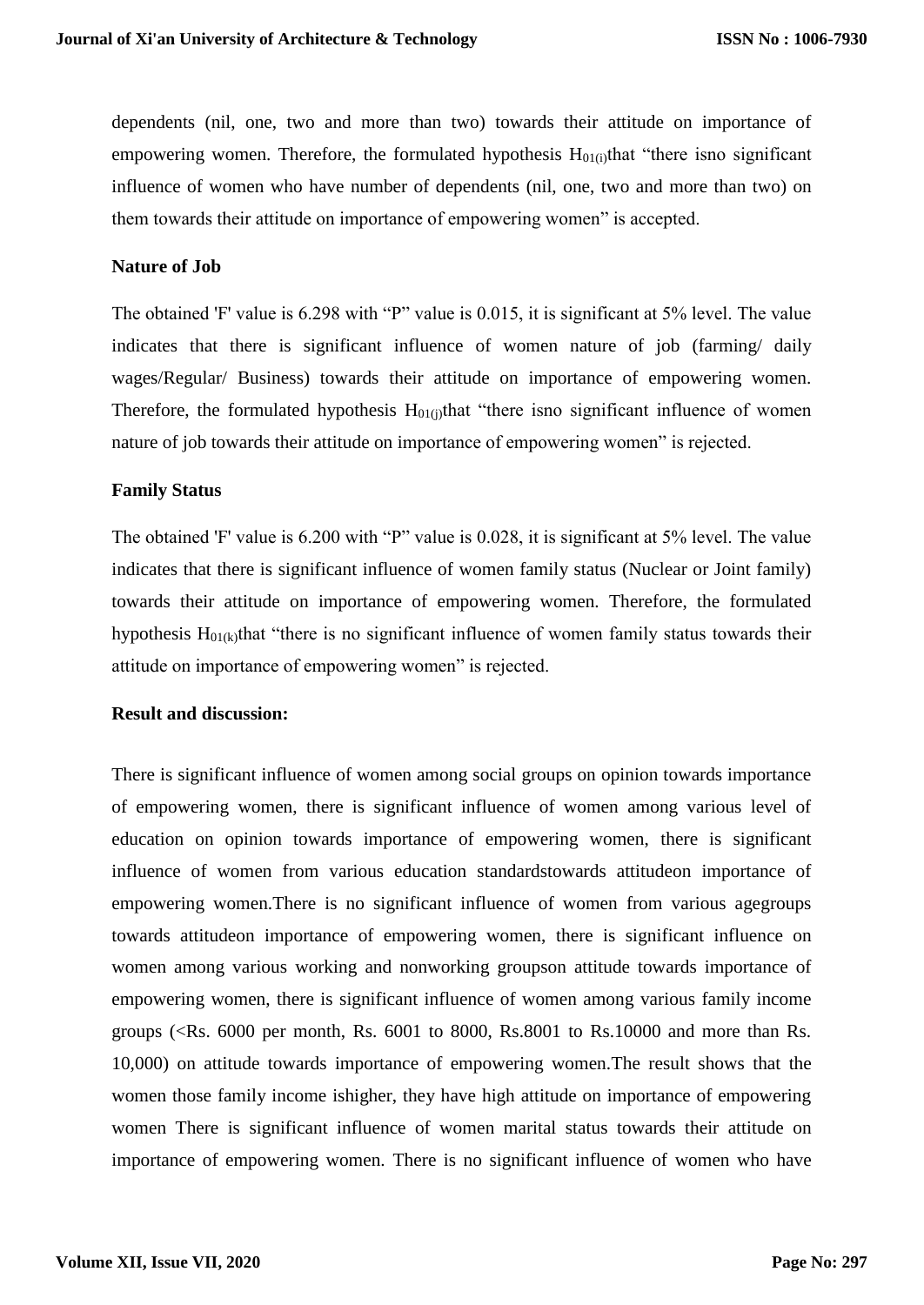dependents (nil, one, two and more than two) towards their attitude on importance of empowering women. Therefore, the formulated hypothesis  $H<sub>01(i)</sub>$ that "there isno significant influence of women who have number of dependents (nil, one, two and more than two) on them towards their attitude on importance of empowering women" is accepted.

### **Nature of Job**

The obtained 'F' value is 6.298 with "P" value is 0.015, it is significant at 5% level. The value indicates that there is significant influence of women nature of job (farming/ daily wages/Regular/ Business) towards their attitude on importance of empowering women. Therefore, the formulated hypothesis  $H<sub>01(i)</sub>$ that "there isno significant influence of women nature of job towards their attitude on importance of empowering women" is rejected.

#### **Family Status**

The obtained 'F' value is 6.200 with "P" value is 0.028, it is significant at 5% level. The value indicates that there is significant influence of women family status (Nuclear or Joint family) towards their attitude on importance of empowering women. Therefore, the formulated hypothesis  $H_{01(k)}$ that "there is no significant influence of women family status towards their attitude on importance of empowering women" is rejected.

#### **Result and discussion:**

There is significant influence of women among social groups on opinion towards importance of empowering women, there is significant influence of women among various level of education on opinion towards importance of empowering women, there is significant influence of women from various education standardstowards attitudeon importance of empowering women.There is no significant influence of women from various agegroups towards attitudeon importance of empowering women, there is significant influence on women among various working and nonworking groupson attitude towards importance of empowering women, there is significant influence of women among various family income groups (<Rs. 6000 per month, Rs. 6001 to 8000, Rs.8001 to Rs.10000 and more than Rs. 10,000) on attitude towards importance of empowering women.The result shows that the women those family income ishigher, they have high attitude on importance of empowering women There is significant influence of women marital status towards their attitude on importance of empowering women. There is no significant influence of women who have